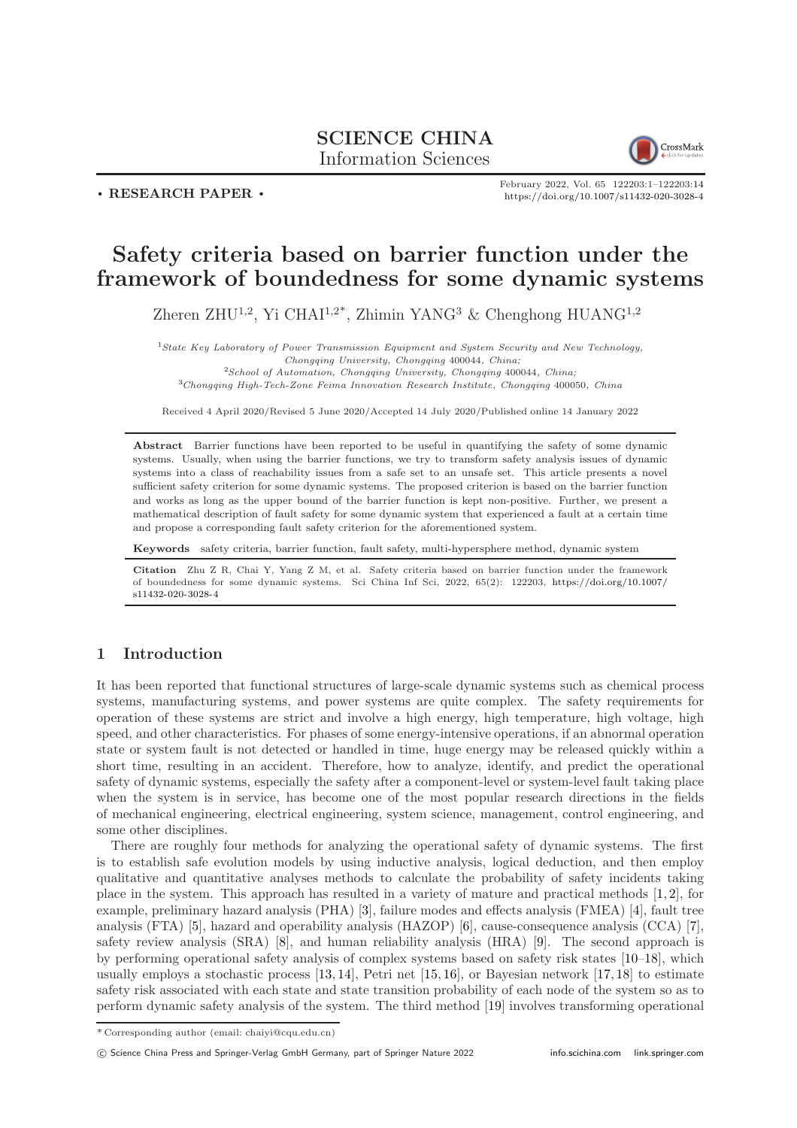## SCIENCE CHINA Information Sciences



. RESEARCH PAPER .

February 2022, Vol. 65 122203:1–122203[:14](#page-13-0) <https://doi.org/10.1007/s11432-020-3028-4>

# Safety criteria based on barrier function under the framework of boundedness for some dynamic systems

Zheren ZHU<sup>1,2</sup>, Yi CHAI<sup>1,2\*</sup>, Zhimin YANG<sup>3</sup> & Chenghong HUANG<sup>1,2</sup>

<sup>1</sup>State Key Laboratory of Power Transmission Equipment and System Security and New Technology, Chongqing University, Chongqing 400044, China;  $2$ School of Automation, Chongqing University, Chongqing 400044, China;

<sup>3</sup>Chongqing High-Tech-Zone Feima Innovation Research Institute, Chongqing 400050, China

Received 4 April 2020/Revised 5 June 2020/Accepted 14 July 2020/Published online 14 January 2022

Abstract Barrier functions have been reported to be useful in quantifying the safety of some dynamic systems. Usually, when using the barrier functions, we try to transform safety analysis issues of dynamic systems into a class of reachability issues from a safe set to an unsafe set. This article presents a novel sufficient safety criterion for some dynamic systems. The proposed criterion is based on the barrier function and works as long as the upper bound of the barrier function is kept non-positive. Further, we present a mathematical description of fault safety for some dynamic system that experienced a fault at a certain time and propose a corresponding fault safety criterion for the aforementioned system.

Keywords safety criteria, barrier function, fault safety, multi-hypersphere method, dynamic system

Citation Zhu Z R, Chai Y, Yang Z M, et al. Safety criteria based on barrier function under the framework of boundedness for some dynamic systems. Sci China Inf Sci, 2022, 65(2): 122203, [https://doi.org/10.1007/](https://doi.org/10.1007/s11432-020-3028-4) [s11432-020-3028-4](https://doi.org/10.1007/s11432-020-3028-4)

## 1 Introduction

It has been reported that functional structures of large-scale dynamic systems such as chemical process systems, manufacturing systems, and power systems are quite complex. The safety requirements for operation of these systems are strict and involve a high energy, high temperature, high voltage, high speed, and other characteristics. For phases of some energy-intensive operations, if an abnormal operation state or system fault is not detected or handled in time, huge energy may be released quickly within a short time, resulting in an accident. Therefore, how to analyze, identify, and predict the operational safety of dynamic systems, especially the safety after a component-level or system-level fault taking place when the system is in service, has become one of the most popular research directions in the fields of mechanical engineering, electrical engineering, system science, management, control engineering, and some other disciplines.

There are roughly four methods for analyzing the operational safety of dynamic systems. The first is to establish safe evolution models by using inductive analysis, logical deduction, and then employ qualitative and quantitative analyses methods to calculate the probability of safety incidents taking place in the system. This approach has resulted in a variety of mature and practical methods [\[1,](#page-12-0) [2\]](#page-12-1), for example, preliminary hazard analysis (PHA) [\[3\]](#page-12-2), failure modes and effects analysis (FMEA) [\[4\]](#page-12-3), fault tree analysis (FTA) [\[5\]](#page-12-4), hazard and operability analysis (HAZOP) [\[6\]](#page-12-5), cause-consequence analysis (CCA) [\[7\]](#page-12-6), safety review analysis (SRA) [\[8\]](#page-12-7), and human reliability analysis (HRA) [\[9\]](#page-12-8). The second approach is by performing operational safety analysis of complex systems based on safety risk states [\[10](#page-12-9)[–18\]](#page-12-10), which usually employs a stochastic process [\[13,](#page-12-11) [14\]](#page-12-12), Petri net [\[15,](#page-12-13) [16\]](#page-12-14), or Bayesian network [\[17,](#page-12-15) [18\]](#page-12-10) to estimate safety risk associated with each state and state transition probability of each node of the system so as to perform dynamic safety analysis of the system. The third method [\[19\]](#page-12-16) involves transforming operational

<sup>\*</sup> Corresponding author (email: chaiyi@cqu.edu.cn)

c Science China Press and Springer-Verlag GmbH Germany, part of Springer Nature 2022 <info.scichina.com><link.springer.com>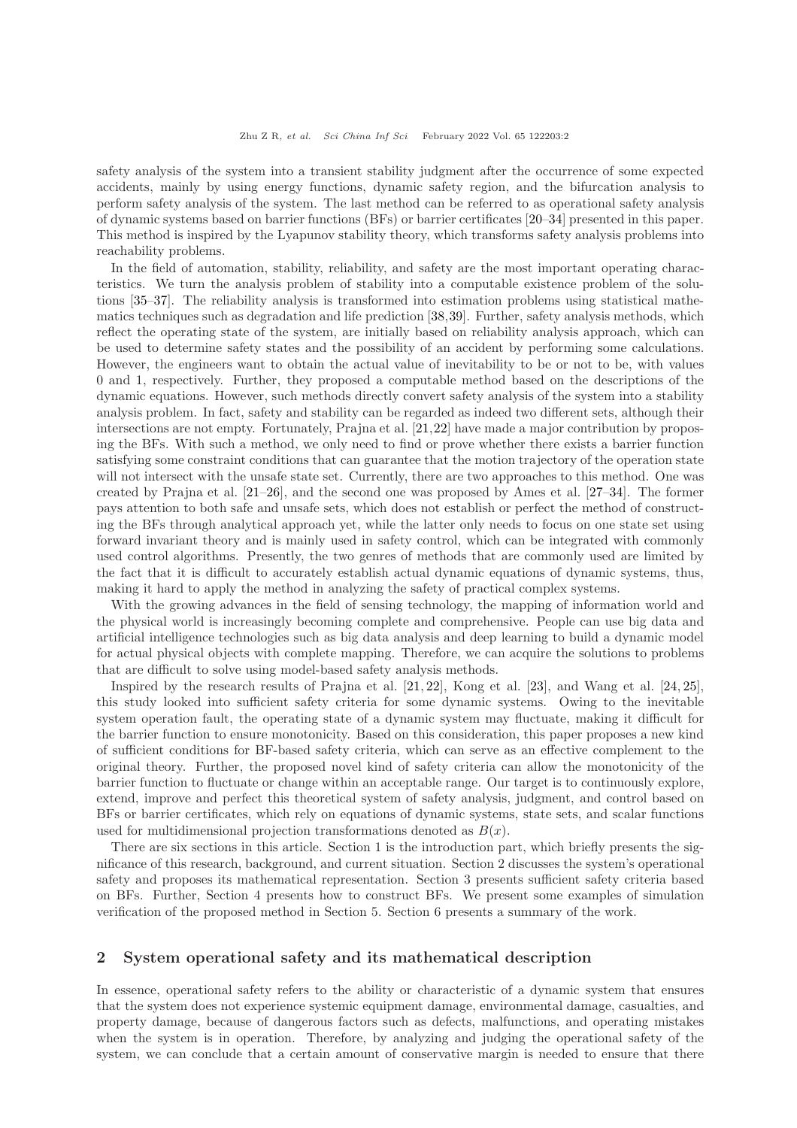safety analysis of the system into a transient stability judgment after the occurrence of some expected accidents, mainly by using energy functions, dynamic safety region, and the bifurcation analysis to perform safety analysis of the system. The last method can be referred to as operational safety analysis of dynamic systems based on barrier functions (BFs) or barrier certificates [\[20–](#page-12-17)[34\]](#page-13-1) presented in this paper. This method is inspired by the Lyapunov stability theory, which transforms safety analysis problems into reachability problems.

In the field of automation, stability, reliability, and safety are the most important operating characteristics. We turn the analysis problem of stability into a computable existence problem of the solutions [\[35–](#page-13-2)[37\]](#page-13-3). The reliability analysis is transformed into estimation problems using statistical mathematics techniques such as degradation and life prediction [\[38,](#page-13-4)[39\]](#page-13-5). Further, safety analysis methods, which reflect the operating state of the system, are initially based on reliability analysis approach, which can be used to determine safety states and the possibility of an accident by performing some calculations. However, the engineers want to obtain the actual value of inevitability to be or not to be, with values 0 and 1, respectively. Further, they proposed a computable method based on the descriptions of the dynamic equations. However, such methods directly convert safety analysis of the system into a stability analysis problem. In fact, safety and stability can be regarded as indeed two different sets, although their intersections are not empty. Fortunately, Prajna et al. [\[21,](#page-12-18)[22\]](#page-12-19) have made a major contribution by proposing the BFs. With such a method, we only need to find or prove whether there exists a barrier function satisfying some constraint conditions that can guarantee that the motion trajectory of the operation state will not intersect with the unsafe state set. Currently, there are two approaches to this method. One was created by Prajna et al. [\[21](#page-12-18)[–26\]](#page-12-20), and the second one was proposed by Ames et al. [\[27](#page-12-21)[–34\]](#page-13-1). The former pays attention to both safe and unsafe sets, which does not establish or perfect the method of constructing the BFs through analytical approach yet, while the latter only needs to focus on one state set using forward invariant theory and is mainly used in safety control, which can be integrated with commonly used control algorithms. Presently, the two genres of methods that are commonly used are limited by the fact that it is difficult to accurately establish actual dynamic equations of dynamic systems, thus, making it hard to apply the method in analyzing the safety of practical complex systems.

With the growing advances in the field of sensing technology, the mapping of information world and the physical world is increasingly becoming complete and comprehensive. People can use big data and artificial intelligence technologies such as big data analysis and deep learning to build a dynamic model for actual physical objects with complete mapping. Therefore, we can acquire the solutions to problems that are difficult to solve using model-based safety analysis methods.

Inspired by the research results of Prajna et al. [\[21,](#page-12-18) [22\]](#page-12-19), Kong et al. [\[23\]](#page-12-22), and Wang et al. [\[24,](#page-12-23) [25\]](#page-12-24), this study looked into sufficient safety criteria for some dynamic systems. Owing to the inevitable system operation fault, the operating state of a dynamic system may fluctuate, making it difficult for the barrier function to ensure monotonicity. Based on this consideration, this paper proposes a new kind of sufficient conditions for BF-based safety criteria, which can serve as an effective complement to the original theory. Further, the proposed novel kind of safety criteria can allow the monotonicity of the barrier function to fluctuate or change within an acceptable range. Our target is to continuously explore, extend, improve and perfect this theoretical system of safety analysis, judgment, and control based on BFs or barrier certificates, which rely on equations of dynamic systems, state sets, and scalar functions used for multidimensional projection transformations denoted as  $B(x)$ .

There are six sections in this article. Section 1 is the introduction part, which briefly presents the significance of this research, background, and current situation. Section 2 discusses the system's operational safety and proposes its mathematical representation. Section 3 presents sufficient safety criteria based on BFs. Further, Section 4 presents how to construct BFs. We present some examples of simulation verification of the proposed method in Section 5. Section 6 presents a summary of the work.

## 2 System operational safety and its mathematical description

In essence, operational safety refers to the ability or characteristic of a dynamic system that ensures that the system does not experience systemic equipment damage, environmental damage, casualties, and property damage, because of dangerous factors such as defects, malfunctions, and operating mistakes when the system is in operation. Therefore, by analyzing and judging the operational safety of the system, we can conclude that a certain amount of conservative margin is needed to ensure that there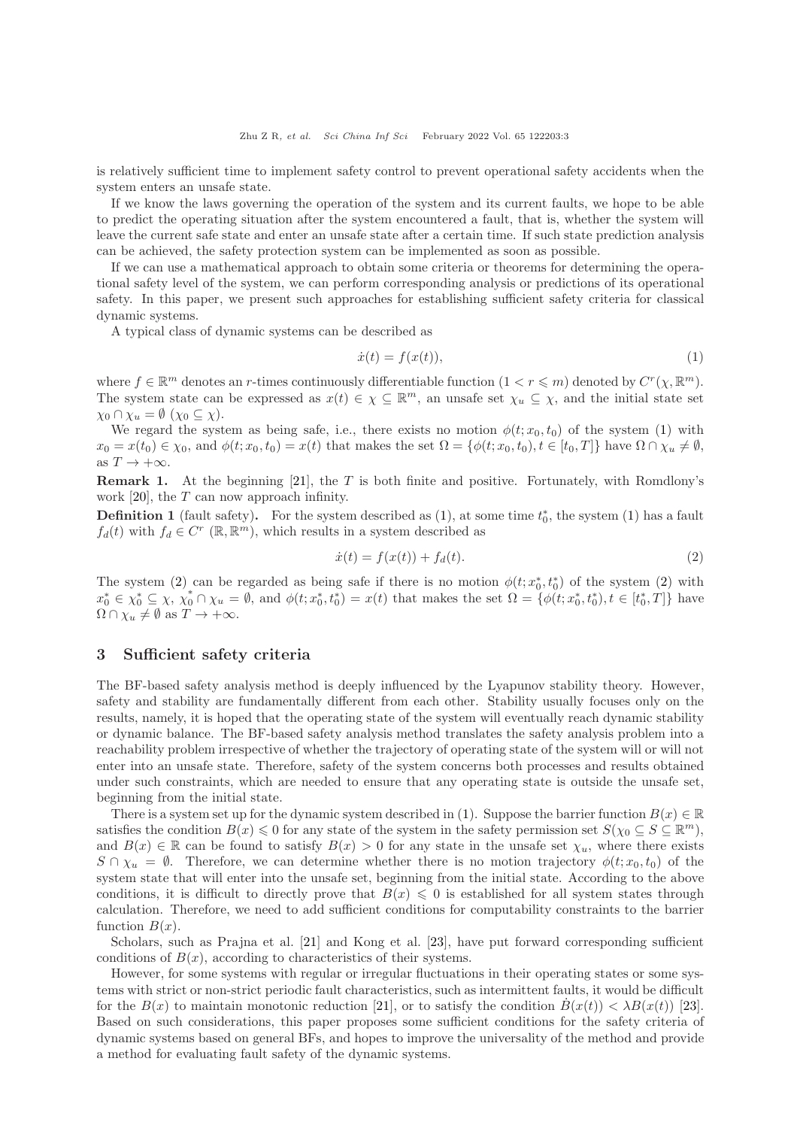Zhu Z R, et al. Sci China Inf Sci February 2022 Vol. 65 122203:3

is relatively sufficient time to implement safety control to prevent operational safety accidents when the system enters an unsafe state.

If we know the laws governing the operation of the system and its current faults, we hope to be able to predict the operating situation after the system encountered a fault, that is, whether the system will leave the current safe state and enter an unsafe state after a certain time. If such state prediction analysis can be achieved, the safety protection system can be implemented as soon as possible.

If we can use a mathematical approach to obtain some criteria or theorems for determining the operational safety level of the system, we can perform corresponding analysis or predictions of its operational safety. In this paper, we present such approaches for establishing sufficient safety criteria for classical dynamic systems.

A typical class of dynamic systems can be described as

<span id="page-2-0"></span>
$$
\dot{x}(t) = f(x(t)),\tag{1}
$$

where  $f \in \mathbb{R}^m$  denotes an r-times continuously differentiable function  $(1 \lt r \leq m)$  denoted by  $C^r(\chi, \mathbb{R}^m)$ . The system state can be expressed as  $x(t) \in \chi \subseteq \mathbb{R}^m$ , an unsafe set  $\chi_u \subseteq \chi$ , and the initial state set  $\chi_0 \cap \chi_u = \emptyset \ (\chi_0 \subseteq \chi).$ 

We regard the system as being safe, i.e., there exists no motion  $\phi(t; x_0, t_0)$  of the system [\(1\)](#page-2-0) with  $x_0 = x(t_0) \in \chi_0$ , and  $\phi(t; x_0, t_0) = x(t)$  that makes the set  $\Omega = {\phi(t; x_0, t_0), t \in [t_0, T]}$  have  $\Omega \cap \chi_u \neq \emptyset$ , as  $T \to +\infty$ .

**Remark 1.** At the beginning [\[21\]](#page-12-18), the T is both finite and positive. Fortunately, with Romdlony's work  $[20]$ , the T can now approach infinity.

**Definition 1** (fault safety). For the system described as  $(1)$ , at some time  $t_0^*$ , the system  $(1)$  has a fault  $f_d(t)$  with  $f_d \in C^r$  ( $\mathbb{R}, \mathbb{R}^m$ ), which results in a system described as

<span id="page-2-1"></span>
$$
\dot{x}(t) = f(x(t)) + f_d(t).
$$
 (2)

The system [\(2\)](#page-2-1) can be regarded as being safe if there is no motion  $\phi(t; x_0^*, t_0^*)$  of the system (2) with  $x_0^* \in \chi_0^* \subseteq \chi, \ \chi_0^* \cap \chi_u = \emptyset$ , and  $\phi(t; x_0^*, t_0^*) = x(t)$  that makes the set  $\Omega = {\phi(t; x_0^*, t_0^*), t \in [t_0^*, T]}$  have  $\Omega \cap \chi_u \neq \emptyset$  as  $T \to +\infty$ .

## 3 Sufficient safety criteria

The BF-based safety analysis method is deeply influenced by the Lyapunov stability theory. However, safety and stability are fundamentally different from each other. Stability usually focuses only on the results, namely, it is hoped that the operating state of the system will eventually reach dynamic stability or dynamic balance. The BF-based safety analysis method translates the safety analysis problem into a reachability problem irrespective of whether the trajectory of operating state of the system will or will not enter into an unsafe state. Therefore, safety of the system concerns both processes and results obtained under such constraints, which are needed to ensure that any operating state is outside the unsafe set, beginning from the initial state.

There is a system set up for the dynamic system described in [\(1\)](#page-2-0). Suppose the barrier function  $B(x) \in \mathbb{R}$ satisfies the condition  $B(x) \leq 0$  for any state of the system in the safety permission set  $S(\chi_0 \subseteq S \subseteq \mathbb{R}^m)$ , and  $B(x) \in \mathbb{R}$  can be found to satisfy  $B(x) > 0$  for any state in the unsafe set  $\chi_u$ , where there exists  $S \cap \chi_u = \emptyset$ . Therefore, we can determine whether there is no motion trajectory  $\phi(t; x_0, t_0)$  of the system state that will enter into the unsafe set, beginning from the initial state. According to the above conditions, it is difficult to directly prove that  $B(x) \leq 0$  is established for all system states through calculation. Therefore, we need to add sufficient conditions for computability constraints to the barrier function  $B(x)$ .

Scholars, such as Prajna et al. [\[21\]](#page-12-18) and Kong et al. [\[23\]](#page-12-22), have put forward corresponding sufficient conditions of  $B(x)$ , according to characteristics of their systems.

However, for some systems with regular or irregular fluctuations in their operating states or some systems with strict or non-strict periodic fault characteristics, such as intermittent faults, it would be difficult for the  $B(x)$  to maintain monotonic reduction [\[21\]](#page-12-18), or to satisfy the condition  $B(x(t)) < \lambda B(x(t))$  [\[23\]](#page-12-22). Based on such considerations, this paper proposes some sufficient conditions for the safety criteria of dynamic systems based on general BFs, and hopes to improve the universality of the method and provide a method for evaluating fault safety of the dynamic systems.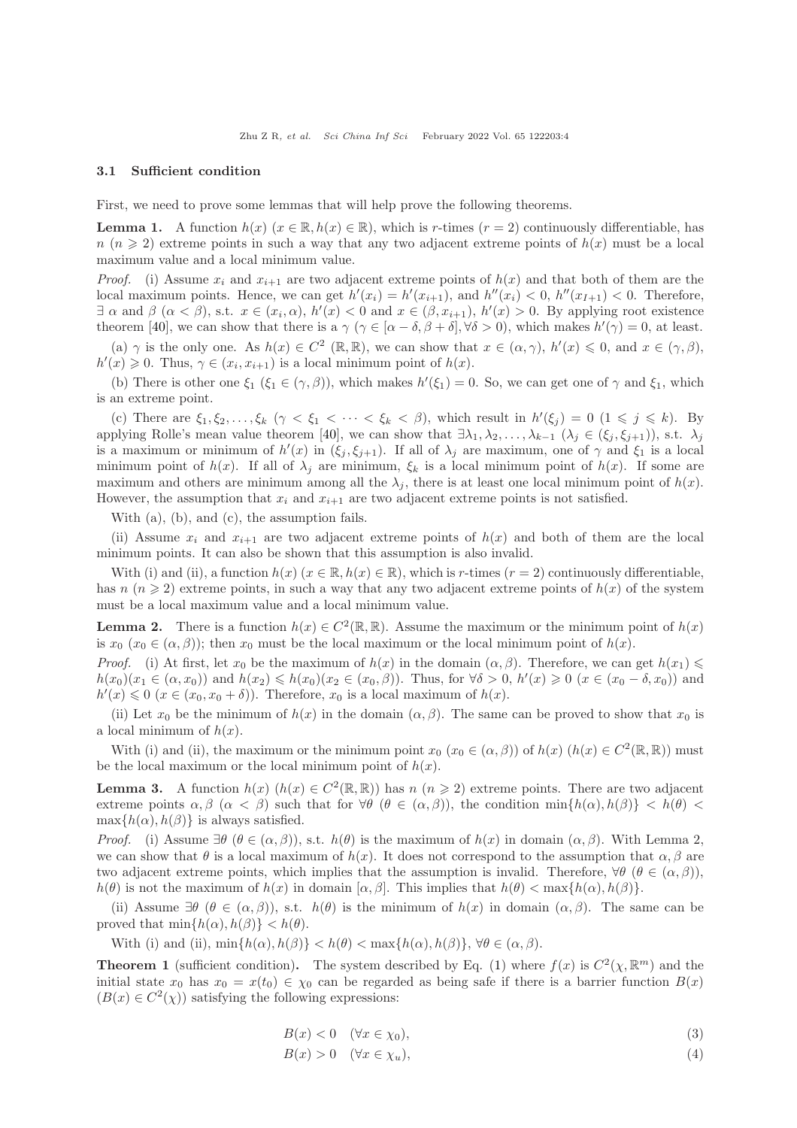#### 3.1 Sufficient condition

First, we need to prove some lemmas that will help prove the following theorems.

**Lemma 1.** A function  $h(x)$  ( $x \in \mathbb{R}$ ,  $h(x) \in \mathbb{R}$ ), which is r-times ( $r = 2$ ) continuously differentiable, has  $n (n \geq 2)$  extreme points in such a way that any two adjacent extreme points of  $h(x)$  must be a local maximum value and a local minimum value.

*Proof.* (i) Assume  $x_i$  and  $x_{i+1}$  are two adjacent extreme points of  $h(x)$  and that both of them are the local maximum points. Hence, we can get  $h'(x_i) = h'(x_{i+1})$ , and  $h''(x_i) < 0$ ,  $h''(x_{i+1}) < 0$ . Therefore,  $\exists \alpha \text{ and } \beta \ (\alpha < \beta), \text{ s.t. } x \in (x_i, \alpha), h'(x) < 0 \text{ and } x \in (\beta, x_{i+1}), h'(x) > 0.$  By applying root existence theorem [\[40\]](#page-13-6), we can show that there is a  $\gamma$  ( $\gamma \in [\alpha - \delta, \beta + \delta], \forall \delta > 0$ ), which makes  $h'(\gamma) = 0$ , at least.

(a)  $\gamma$  is the only one. As  $h(x) \in C^2 (\mathbb{R}, \mathbb{R})$ , we can show that  $x \in (\alpha, \gamma)$ ,  $h'(x) \leq 0$ , and  $x \in (\gamma, \beta)$ ,  $h'(x) \geq 0$ . Thus,  $\gamma \in (x_i, x_{i+1})$  is a local minimum point of  $h(x)$ .

(b) There is other one  $\xi_1$  ( $\xi_1 \in (\gamma, \beta)$ ), which makes  $h'(\xi_1) = 0$ . So, we can get one of  $\gamma$  and  $\xi_1$ , which is an extreme point.

(c) There are  $\xi_1, \xi_2, \ldots, \xi_k$   $(\gamma < \xi_1 < \cdots < \xi_k < \beta)$ , which result in  $h'(\xi_j) = 0$   $(1 \leq j \leq k)$ . By applying Rolle's mean value theorem [\[40\]](#page-13-6), we can show that  $\exists \lambda_1, \lambda_2, \ldots, \lambda_{k-1}$  ( $\lambda_i \in (\xi_i, \xi_{i+1})$ ), s.t.  $\lambda_i$ is a maximum or minimum of  $h'(x)$  in  $(\xi_j, \xi_{j+1})$ . If all of  $\lambda_j$  are maximum, one of  $\gamma$  and  $\xi_1$  is a local minimum point of  $h(x)$ . If all of  $\lambda_i$  are minimum,  $\xi_k$  is a local minimum point of  $h(x)$ . If some are maximum and others are minimum among all the  $\lambda_i$ , there is at least one local minimum point of  $h(x)$ . However, the assumption that  $x_i$  and  $x_{i+1}$  are two adjacent extreme points is not satisfied.

With (a), (b), and (c), the assumption fails.

(ii) Assume  $x_i$  and  $x_{i+1}$  are two adjacent extreme points of  $h(x)$  and both of them are the local minimum points. It can also be shown that this assumption is also invalid.

With (i) and (ii), a function  $h(x)$  ( $x \in \mathbb{R}$ ,  $h(x) \in \mathbb{R}$ ), which is r-times ( $r = 2$ ) continuously differentiable, has  $n (n \geq 2)$  extreme points, in such a way that any two adjacent extreme points of  $h(x)$  of the system must be a local maximum value and a local minimum value.

**Lemma 2.** There is a function  $h(x) \in C^2(\mathbb{R}, \mathbb{R})$ . Assume the maximum or the minimum point of  $h(x)$ is  $x_0$   $(x_0 \in (\alpha, \beta))$ ; then  $x_0$  must be the local maximum or the local minimum point of  $h(x)$ .

*Proof.* (i) At first, let  $x_0$  be the maximum of  $h(x)$  in the domain  $(\alpha, \beta)$ . Therefore, we can get  $h(x_1) \leq$  $h(x_0)(x_1 \in (\alpha, x_0))$  and  $h(x_2) \leq h(x_0)(x_2 \in (x_0, \beta))$ . Thus, for  $\forall \delta > 0$ ,  $h'(x) \geq 0$   $(x \in (x_0 - \delta, x_0))$  and  $h'(x) \leq 0$   $(x \in (x_0, x_0 + \delta))$ . Therefore,  $x_0$  is a local maximum of  $h(x)$ .

(ii) Let  $x_0$  be the minimum of  $h(x)$  in the domain  $(\alpha, \beta)$ . The same can be proved to show that  $x_0$  is a local minimum of  $h(x)$ .

With (i) and (ii), the maximum or the minimum point  $x_0$   $(x_0 \in (\alpha, \beta))$  of  $h(x)$   $(h(x) \in C^2(\mathbb{R}, \mathbb{R}))$  must be the local maximum or the local minimum point of  $h(x)$ .

**Lemma 3.** A function  $h(x)$   $(h(x) \in C^2(\mathbb{R}, \mathbb{R}))$  has  $n (n \geq 2)$  extreme points. There are two adjacent extreme points  $\alpha, \beta \ (\alpha \leq \beta)$  such that for  $\forall \theta \ (\theta \in (\alpha, \beta))$ , the condition  $\min\{h(\alpha), h(\beta)\} \leq h(\theta) \leq$  $\max\{h(\alpha), h(\beta)\}\$ is always satisfied.

*Proof.* (i) Assume  $\exists \theta \ (\theta \in (\alpha, \beta))$ , s.t.  $h(\theta)$  is the maximum of  $h(x)$  in domain  $(\alpha, \beta)$ . With Lemma 2, we can show that  $\theta$  is a local maximum of  $h(x)$ . It does not correspond to the assumption that  $\alpha, \beta$  are two adjacent extreme points, which implies that the assumption is invalid. Therefore,  $\forall \theta \ (\theta \in (\alpha, \beta))$ ,  $h(\theta)$  is not the maximum of  $h(x)$  in domain  $[\alpha, \beta]$ . This implies that  $h(\theta) < \max\{h(\alpha), h(\beta)\}\$ .

(ii) Assume  $\exists \theta \ (\theta \in (\alpha, \beta))$ , s.t.  $h(\theta)$  is the minimum of  $h(x)$  in domain  $(\alpha, \beta)$ . The same can be proved that  $\min\{h(\alpha), h(\beta)\} < h(\theta)$ .

With (i) and (ii),  $\min\{h(\alpha), h(\beta)\} < h(\theta) < \max\{h(\alpha), h(\beta)\}, \forall \theta \in (\alpha, \beta)$ .

**Theorem 1** (sufficient condition). The system described by Eq. [\(1\)](#page-2-0) where  $f(x)$  is  $C^2(\chi, \mathbb{R}^m)$  and the initial state  $x_0$  has  $x_0 = x(t_0) \in \chi_0$  can be regarded as being safe if there is a barrier function  $B(x)$  $(B(x) \in C<sup>2</sup>(\chi))$  satisfying the following expressions:

<span id="page-3-0"></span>
$$
B(x) < 0 \quad (\forall x \in \chi_0), \tag{3}
$$

$$
B(x) > 0 \quad (\forall x \in \chi_u), \tag{4}
$$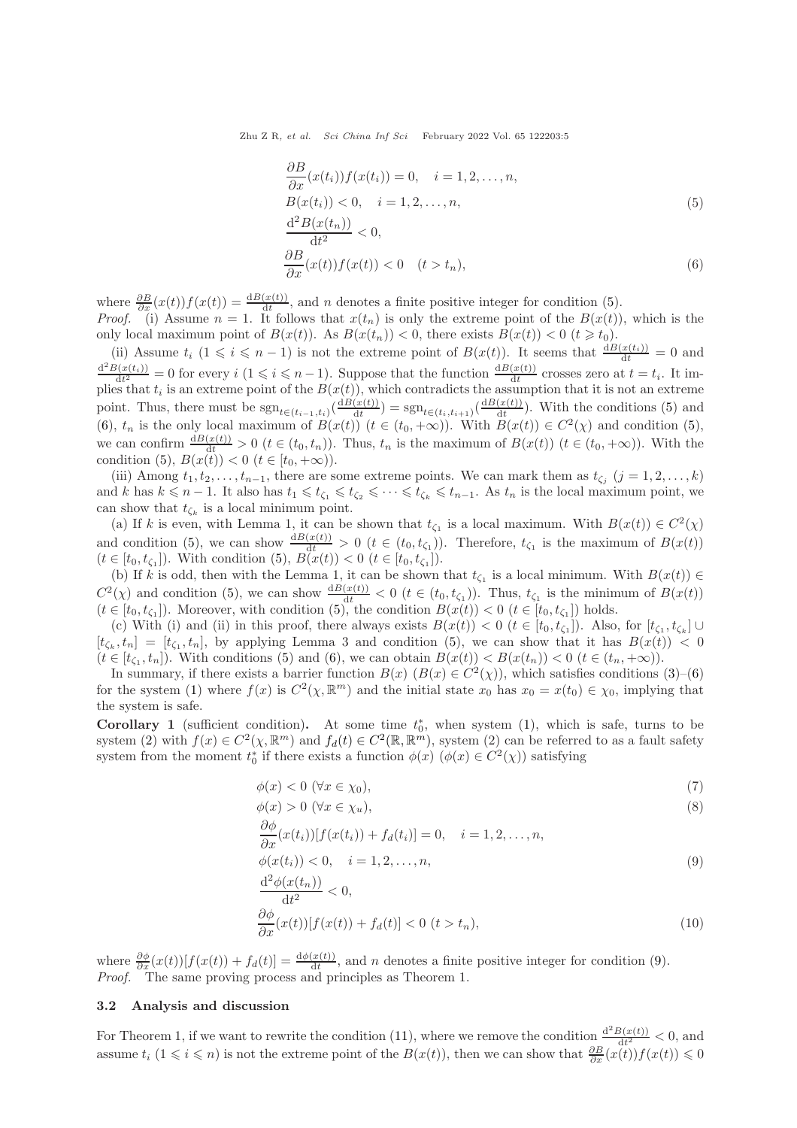Zhu Z R, et al. Sci China Inf Sci February 2022 Vol. 65 122203:5

<span id="page-4-1"></span><span id="page-4-0"></span>
$$
\frac{\partial B}{\partial x}(x(t_i))f(x(t_i)) = 0, \quad i = 1, 2, \dots, n,
$$
  
\n
$$
B(x(t_i)) < 0, \quad i = 1, 2, \dots, n,
$$
  
\n
$$
\frac{d^2B(x(t_n))}{dt^2} < 0,
$$
  
\n
$$
\frac{\partial B}{\partial x}(x(t))f(x(t)) < 0 \quad (t > t_n),
$$
\n(6)

where  $\frac{\partial B}{\partial x}(x(t))f(x(t)) = \frac{dB(x(t))}{dt}$ , and *n* denotes a finite positive integer for condition [\(5\)](#page-4-0). *Proof.* (i) Assume  $n = 1$ . It follows that  $x(t_n)$  is only the extreme point of the  $B(x(t))$ , which is the only local maximum point of  $B(x(t))$ . As  $B(x(t_n)) < 0$ , there exists  $B(x(t)) < 0$   $(t \geq t_0)$ .

(ii) Assume  $t_i$   $(1 \leq i \leq n-1)$  is not the extreme point of  $B(x(t))$ . It seems that  $\frac{dB(x(t_i))}{dt} = 0$  and  $\frac{d^2B(x(t_i))}{dt^2} = 0$  for every  $i\ (1 \leq i \leq n-1)$ . Suppose that the function  $\frac{dB(x(t))}{dt}$  crosses zero at  $t = t_i$ . It implies that  $t_i$  is an extreme point of the  $B(x(t))$ , which contradicts the assumption that it is not an extreme point. Thus, there must be  $sgn_{t \in (t_{i-1}, t_i)}(\frac{dB(x(t))}{dt})$  $\frac{(x(t))}{dt}$ ) = sgn<sub>t∈(t<sub>i</sub>,t<sub>i+1</sub>)</sub>( $\frac{dB(x(t))}{dt}$  $\frac{d(x(t))}{dt}$ . With the conditions [\(5\)](#page-4-0) and [\(6\)](#page-4-1),  $t_n$  is the only local maximum of  $B(x(t))$   $(t \in (t_0, +\infty))$ . With  $B(x(t)) \in C^2(\chi)$  and condition [\(5\)](#page-4-0), we can confirm  $\frac{dB(x(t))}{dt} > 0$   $(t \in (t_0, t_n))$ . Thus,  $t_n$  is the maximum of  $B(x(t))$   $(t \in (t_0, +\infty))$ . With the condition [\(5\)](#page-4-0),  $B(x(t)) < 0$   $(t \in [t_0, +\infty))$ .

(iii) Among  $t_1, t_2, \ldots, t_{n-1}$ , there are some extreme points. We can mark them as  $t_{\zeta_j}$   $(j = 1, 2, \ldots, k)$ and k has  $k \leq n-1$ . It also has  $t_1 \leq t_{\zeta_1} \leq t_{\zeta_2} \leq \cdots \leq t_{\zeta_k} \leq t_{n-1}$ . As  $t_n$  is the local maximum point, we can show that  $t_{\zeta_k}$  is a local minimum point.

(a) If k is even, with Lemma 1, it can be shown that  $t_{\zeta_1}$  is a local maximum. With  $B(x(t)) \in C^2(\chi)$ and condition [\(5\)](#page-4-0), we can show  $\frac{dB(x(t))}{dt} > 0$   $(t \in (t_0, t_{\zeta_1}))$ . Therefore,  $t_{\zeta_1}$  is the maximum of  $B(x(t))$  $(t \in [t_0, t_{\zeta_1}])$ . With condition  $(5), B(x(t)) < 0$   $(t \in [t_0, t_{\zeta_1}])$ .

(b) If k is odd, then with the Lemma 1, it can be shown that  $t_{\zeta_1}$  is a local minimum. With  $B(x(t)) \in$  $C^2(\chi)$  and condition [\(5\)](#page-4-0), we can show  $\frac{dB(x(t))}{dt} < 0$  ( $t \in (t_0, t_{\zeta_1})$ ). Thus,  $t_{\zeta_1}$  is the minimum of  $B(x(t))$  $(t \in [t_0, t_{\zeta_1}])$ . Moreover, with condition [\(5\)](#page-4-0), the condition  $B(x(t)) < 0$   $(t \in [t_0, t_{\zeta_1}])$  holds.

(c) With (i) and (ii) in this proof, there always exists  $B(x(t)) < 0$  ( $t \in [t_0, t_{\zeta_1}]$ ). Also, for  $[t_{\zeta_1}, t_{\zeta_k}] \cup$  $[t_{\zeta_k}, t_n] = [t_{\zeta_1}, t_n]$ , by applying Lemma 3 and condition [\(5\)](#page-4-0), we can show that it has  $B(x(t)) < 0$  $(t \in [t_{\zeta_1}, t_n])$ . With conditions [\(5\)](#page-4-0) and [\(6\)](#page-4-1), we can obtain  $B(x(t)) < B(x(t_n)) < 0$   $(t \in (t_n, +\infty))$ .

In summary, if there exists a barrier function  $B(x)$   $(B(x) \in C<sup>2</sup>(x))$ , which satisfies conditions  $(3)$ – $(6)$ for the system [\(1\)](#page-2-0) where  $f(x)$  is  $C^2(\chi, \mathbb{R}^m)$  and the initial state  $x_0$  has  $x_0 = x(t_0) \in \chi_0$ , implying that the system is safe.

Corollary 1 (sufficient condition). At some time  $t_0^*$ , when system [\(1\)](#page-2-0), which is safe, turns to be system [\(2\)](#page-2-1) with  $f(x) \in C^2(\chi, \mathbb{R}^m)$  and  $f_d(t) \in C^2(\mathbb{R}, \mathbb{R}^m)$ , system (2) can be referred to as a fault safety system from the moment  $t_0^*$  if there exists a function  $\phi(x)$   $(\phi(x) \in C^2(\chi))$  satisfying

$$
\phi(x) < 0 \ (\forall x \in \chi_0),\tag{7}
$$

$$
\phi(x) > 0 \ (\forall x \in \chi_u), \tag{8}
$$

<span id="page-4-2"></span>
$$
\frac{\partial \phi}{\partial x}(x(t_i))[f(x(t_i)) + f_d(t_i)] = 0, \quad i = 1, 2, \dots, n,
$$
  

$$
\phi(x(t_i)) < 0, \quad i = 1, 2, \dots, n,
$$
\n
$$
(9)
$$

$$
\frac{\mathrm{d}^2 \phi(x(t_n))}{\mathrm{d}t^2} < 0,
$$

$$
\frac{\partial \phi}{\partial x}(x(t))[f(x(t)) + f_d(t)] < 0 \ (t > t_n),\tag{10}
$$

where  $\frac{\partial \phi}{\partial x}(x(t)) [f(x(t)) + f_d(t)] = \frac{d\phi(x(t))}{dt}$ , and n denotes a finite positive integer for condition [\(9\)](#page-4-2). Proof. The same proving process and principles as Theorem 1.

#### 3.2 Analysis and discussion

For Theorem 1, if we want to rewrite the condition [\(11\)](#page-5-0), where we remove the condition  $\frac{d^2B(x(t))}{dt^2}$  $\frac{\partial f(x(t))}{\partial t^2} < 0$ , and assume  $t_i$   $(1 \leq i \leq n)$  is not the extreme point of the  $B(x(t))$ , then we can show that  $\frac{\partial B}{\partial x}(x(t))f(x(t)) \leq 0$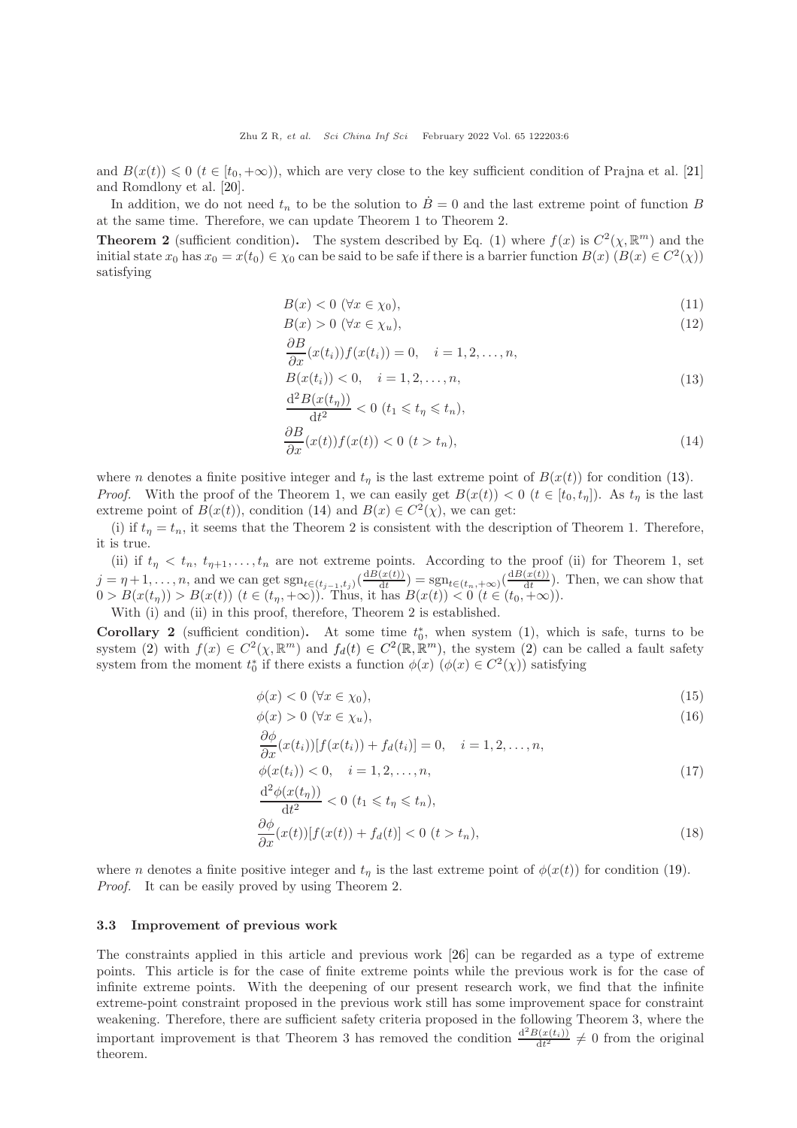and  $B(x(t)) \leq 0$   $(t \in [t_0, +\infty))$ , which are very close to the key sufficient condition of Prajna et al. [\[21\]](#page-12-18) and Romdlony et al. [\[20\]](#page-12-17).

In addition, we do not need  $t_n$  to be the solution to  $B=0$  and the last extreme point of function B at the same time. Therefore, we can update Theorem 1 to Theorem 2.

**Theorem 2** (sufficient condition). The system described by Eq. [\(1\)](#page-2-0) where  $f(x)$  is  $C^2(\chi, \mathbb{R}^m)$  and the initial state  $x_0$  has  $x_0 = x(t_0) \in \chi_0$  can be said to be safe if there is a barrier function  $B(x)$   $(B(x) \in C^2(\chi))$ satisfying

<span id="page-5-0"></span>
$$
B(x) < 0 \quad (\forall x \in \chi_0), \tag{11}
$$

$$
B(x) > 0 \ (\forall x \in \chi_u), \tag{12}
$$

<span id="page-5-1"></span>
$$
\frac{\partial B}{\partial x}(x(t_i))f(x(t_i)) = 0, \quad i = 1, 2, \dots, n,
$$
  
\n
$$
B(x(t_i)) < 0, \quad i = 1, 2, \dots, n,
$$
  
\n
$$
\frac{\mathrm{d}^2 B(x(t_\eta))}{\mathrm{d}t^2} < 0 \ (t_1 \leq t_\eta \leq t_n),
$$
\n(13)

<span id="page-5-2"></span>
$$
\frac{\partial B}{\partial x}(x(t))f(x(t)) < 0 \ (t > t_n),\tag{14}
$$

where n denotes a finite positive integer and  $t_n$  is the last extreme point of  $B(x(t))$  for condition [\(13\)](#page-5-1). *Proof.* With the proof of the Theorem 1, we can easily get  $B(x(t)) < 0$  ( $t \in [t_0, t_n]$ ). As  $t_n$  is the last extreme point of  $B(x(t))$ , condition [\(14\)](#page-5-2) and  $B(x) \in C^2(\chi)$ , we can get:

(i) if  $t_n = t_n$ , it seems that the Theorem 2 is consistent with the description of Theorem 1. Therefore, it is true.

(ii) if  $t_{\eta} < t_n$ ,  $t_{\eta+1}, \ldots, t_n$  are not extreme points. According to the proof (ii) for Theorem 1, set  $j = \eta + 1, \ldots, n$ , and we can get sgn<sub>t∈(tj-1,tj)</sub>( $\frac{dB(x(t))}{dt}$  $\frac{d(x(t))}{dt}$  = sgn<sub>t∈(t<sub>n</sub>,+∞)</sub>( $\frac{dB(x(t))}{dt}$  $\frac{d(x(t))}{dt}$ . Then, we can show that  $0 > B(x(t<sub>\eta</sub>)) > B(x(t))$   $(t \in (t_{\eta}, +\infty))$ . Thus, it has  $B(x(t)) < 0$   $(t \in (t_0, +\infty))$ .

With (i) and (ii) in this proof, therefore, Theorem 2 is established.

**Corollary 2** (sufficient condition). At some time  $t_0^*$ , when system [\(1\)](#page-2-0), which is safe, turns to be system [\(2\)](#page-2-1) with  $f(x) \in C^2(\chi, \mathbb{R}^m)$  and  $f_d(t) \in C^2(\mathbb{R}, \mathbb{R}^m)$ , the system (2) can be called a fault safety system from the moment  $t_0^*$  if there exists a function  $\phi(x)$   $(\phi(x) \in C^2(\chi))$  satisfying

$$
\phi(x) < 0 \ (\forall x \in \chi_0),\tag{15}
$$

$$
\phi(x) > 0 \ (\forall x \in \chi_u), \tag{16}
$$

$$
\frac{\partial \phi}{\partial x}(x(t_i))[f(x(t_i)) + f_d(t_i)] = 0, \quad i = 1, 2, \dots, n,
$$

$$
\phi(x(t_i)) < 0, \quad i = 1, 2, \dots, n,
$$
\n
$$
\frac{d^2 \phi(x(t_n))}{dt^2} < 0, \quad (1 \le t \le t, 1 \le t).
$$
\n(17)

$$
\frac{\partial \phi(x(t_{\eta}))}{\partial t} < 0 \ (t_1 \leqslant t_\eta \leqslant t_n),
$$
\n
$$
\frac{\partial \phi}{\partial x}(x(t))[f(x(t)) + f_d(t)] < 0 \ (t > t_n), \tag{18}
$$

where *n* denotes a finite positive integer and  $t<sub>\eta</sub>$  is the last extreme point of  $\phi(x(t))$  for condition [\(19\)](#page-6-0). Proof. It can be easily proved by using Theorem 2.

#### 3.3 Improvement of previous work

The constraints applied in this article and previous work [\[26\]](#page-12-20) can be regarded as a type of extreme points. This article is for the case of finite extreme points while the previous work is for the case of infinite extreme points. With the deepening of our present research work, we find that the infinite extreme-point constraint proposed in the previous work still has some improvement space for constraint weakening. Therefore, there are sufficient safety criteria proposed in the following Theorem 3, where the important improvement is that Theorem 3 has removed the condition  $\frac{d^2B(x(t_i))}{dt^2} \neq 0$  from the original theorem.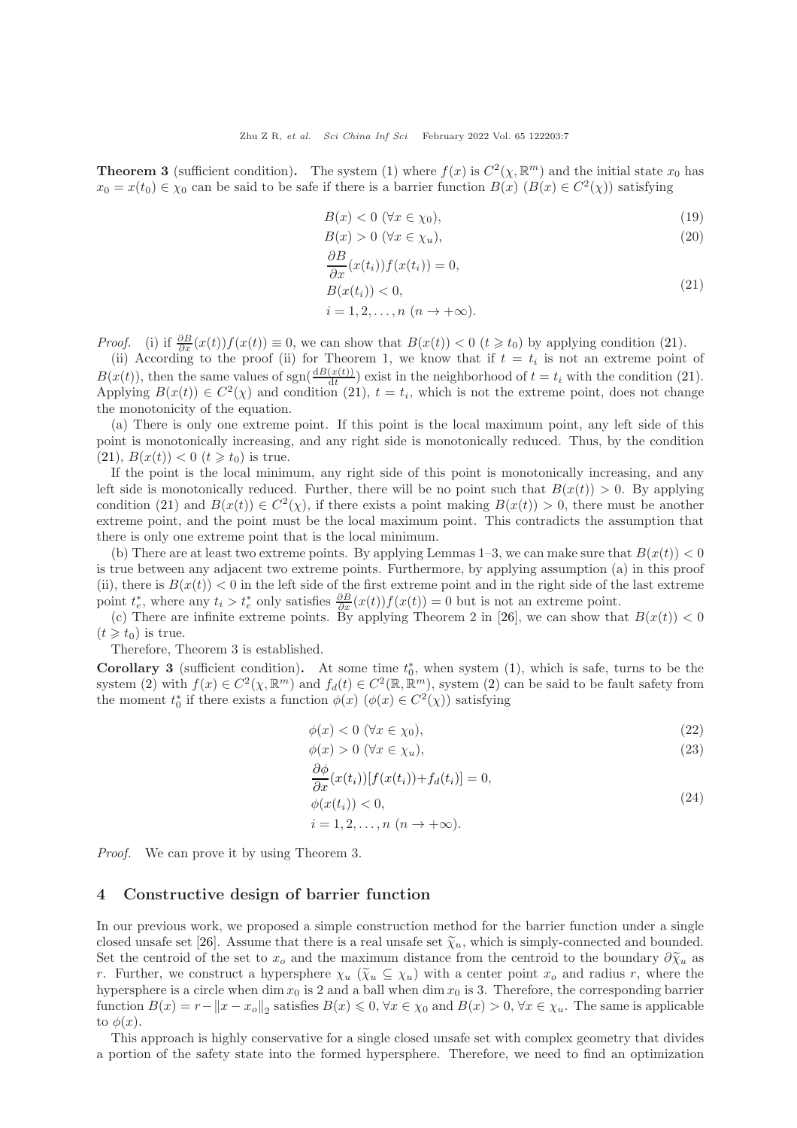**Theorem 3** (sufficient condition). The system [\(1\)](#page-2-0) where  $f(x)$  is  $C^2(\chi, \mathbb{R}^m)$  and the initial state  $x_0$  has  $x_0 = x(t_0) \in \chi_0$  can be said to be safe if there is a barrier function  $B(x)$   $(B(x) \in C^2(\chi))$  satisfying

<span id="page-6-0"></span>
$$
B(x) < 0 \ (\forall x \in \chi_0),\tag{19}
$$

$$
B(x) > 0 \ (\forall x \in \chi_u), \tag{20}
$$

<span id="page-6-1"></span>
$$
\frac{\partial B}{\partial x}(x(t_i))f(x(t_i)) = 0,
$$
  
\n
$$
B(x(t_i)) < 0,
$$
  
\n
$$
i = 1, 2, ..., n \ (n \to +\infty).
$$
\n(21)

*Proof.* (i) if  $\frac{\partial B}{\partial x}(x(t))f(x(t)) \equiv 0$ , we can show that  $B(x(t)) < 0$   $(t \geq t_0)$  by applying condition [\(21\)](#page-6-1).

(ii) According to the proof (ii) for Theorem 1, we know that if  $t = t_i$  is not an extreme point of  $B(x(t))$ , then the same values of sgn( $\frac{dB(x(t))}{dt}$ ) exist in the neighborhood of  $t = t_i$  with the condition [\(21\)](#page-6-1). Applying  $B(x(t)) \in C^2(\chi)$  and condition [\(21\)](#page-6-1),  $t = t_i$ , which is not the extreme point, does not change the monotonicity of the equation.

(a) There is only one extreme point. If this point is the local maximum point, any left side of this point is monotonically increasing, and any right side is monotonically reduced. Thus, by the condition  $(21), B(x(t)) < 0 \ (t \geq t_0)$  $(21), B(x(t)) < 0 \ (t \geq t_0)$  is true.

If the point is the local minimum, any right side of this point is monotonically increasing, and any left side is monotonically reduced. Further, there will be no point such that  $B(x(t)) > 0$ . By applying condition [\(21\)](#page-6-1) and  $B(x(t)) \in C^2(\chi)$ , if there exists a point making  $B(x(t)) > 0$ , there must be another extreme point, and the point must be the local maximum point. This contradicts the assumption that there is only one extreme point that is the local minimum.

(b) There are at least two extreme points. By applying Lemmas 1–3, we can make sure that  $B(x(t)) < 0$ is true between any adjacent two extreme points. Furthermore, by applying assumption (a) in this proof (ii), there is  $B(x(t)) < 0$  in the left side of the first extreme point and in the right side of the last extreme point  $t_e^*$ , where any  $t_i > t_e^*$  only satisfies  $\frac{\partial B}{\partial x}(x(t))f(x(t)) = 0$  but is not an extreme point.

(c) There are infinite extreme points. By applying Theorem 2 in [\[26\]](#page-12-20), we can show that  $B(x(t)) < 0$  $(t \geq t_0)$  is true.

Therefore, Theorem 3 is established.

**Corollary 3** (sufficient condition). At some time  $t_0^*$ , when system [\(1\)](#page-2-0), which is safe, turns to be the system [\(2\)](#page-2-1) with  $f(x) \in C^2(\chi, \mathbb{R}^m)$  and  $f_d(t) \in C^2(\mathbb{R}, \mathbb{R}^m)$ , system (2) can be said to be fault safety from the moment  $t_0^*$  if there exists a function  $\phi(x)$   $(\phi(x) \in C^2(\chi))$  satisfying

$$
\phi(x) < 0 \ (\forall x \in \chi_0),\tag{22}
$$

$$
\phi(x) > 0 \quad (\forall x \in \chi_u),\tag{23}
$$

<span id="page-6-2"></span>
$$
\frac{\partial \varphi}{\partial x}(x(t_i))[f(x(t_i)) + f_d(t_i)] = 0,\n\phi(x(t_i)) < 0,\ni = 1, 2, ..., n \ (n \to +\infty).
$$
\n(24)

Proof. We can prove it by using Theorem 3.

#### 4 Constructive design of barrier function

In our previous work, we proposed a simple construction method for the barrier function under a single closed unsafe set [\[26\]](#page-12-20). Assume that there is a real unsafe set  $\tilde{\chi}_u$ , which is simply-connected and bounded. Set the centroid of the set to  $x_o$  and the maximum distance from the centroid to the boundary  $\partial \tilde{\chi}_u$  as r. Further, we construct a hypersphere  $\chi_u$  ( $\tilde{\chi}_u \subseteq \chi_u$ ) with a center point  $x_o$  and radius r, where the hypersphere is a circle when dim  $x_0$  is 2 and a ball when dim  $x_0$  is 3. Therefore, the corresponding barrier function  $B(x) = r - ||x - x_0||_2$  satisfies  $B(x) \leq 0$ ,  $\forall x \in \chi_0$  and  $B(x) > 0$ ,  $\forall x \in \chi_u$ . The same is applicable to  $\phi(x)$ .

This approach is highly conservative for a single closed unsafe set with complex geometry that divides a portion of the safety state into the formed hypersphere. Therefore, we need to find an optimization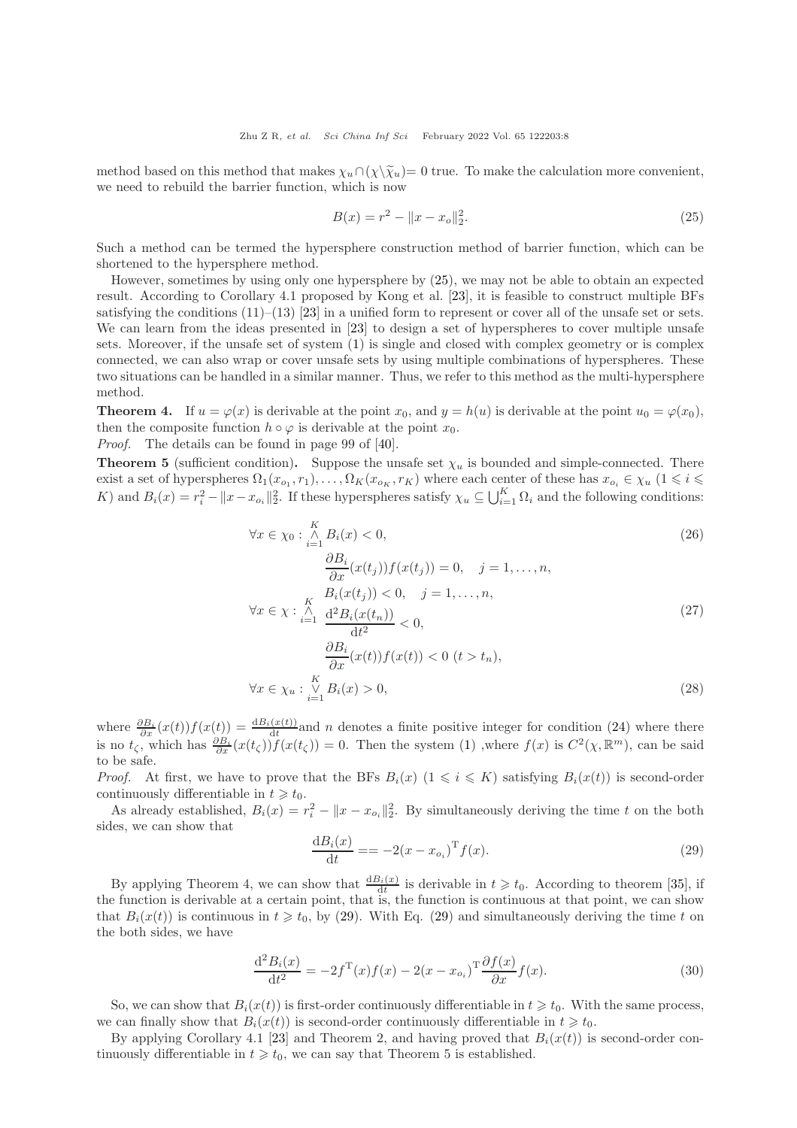method based on this method that makes  $\chi_u \cap (\chi \backslash \tilde{\chi}_u) = 0$  true. To make the calculation more convenient, we need to rebuild the barrier function, which is now

<span id="page-7-0"></span>
$$
B(x) = r^2 - ||x - x_o||_2^2.
$$
\n(25)

Such a method can be termed the hypersphere construction method of barrier function, which can be shortened to the hypersphere method.

However, sometimes by using only one hypersphere by [\(25\)](#page-7-0), we may not be able to obtain an expected result. According to Corollary 4.1 proposed by Kong et al. [\[23\]](#page-12-22), it is feasible to construct multiple BFs satisfying the conditions  $(11)$ – $(13)$  [\[23\]](#page-12-22) in a unified form to represent or cover all of the unsafe set or sets. We can learn from the ideas presented in [\[23\]](#page-12-22) to design a set of hyperspheres to cover multiple unsafe sets. Moreover, if the unsafe set of system [\(1\)](#page-2-0) is single and closed with complex geometry or is complex connected, we can also wrap or cover unsafe sets by using multiple combinations of hyperspheres. These two situations can be handled in a similar manner. Thus, we refer to this method as the multi-hypersphere method.

**Theorem 4.** If  $u = \varphi(x)$  is derivable at the point  $x_0$ , and  $y = h(u)$  is derivable at the point  $u_0 = \varphi(x_0)$ , then the composite function  $h \circ \varphi$  is derivable at the point  $x_0$ .

Proof. The details can be found in page 99 of [\[40\]](#page-13-6).

**Theorem 5** (sufficient condition). Suppose the unsafe set  $\chi_u$  is bounded and simple-connected. There exist a set of hyperspheres  $\Omega_1(x_{o_1}, r_1), \ldots, \Omega_K(x_{o_K}, r_K)$  where each center of these has  $x_{o_i} \in \chi_u$   $(1 \leq i \leq n)$ K) and  $B_i(x) = r_i^2 - ||x - x_{o_i}||_2^2$ . If these hyperspheres satisfy  $\chi_u \subseteq \bigcup_{i=1}^K \Omega_i$  and the following conditions:

$$
\forall x \in \chi_0 : \bigwedge_{i=1}^K B_i(x) < 0,
$$
\n
$$
\frac{\partial B_i}{\partial x}(x(t_j))f(x(t_j)) = 0, \quad j = 1, \dots, n,
$$
\n
$$
\forall x \in \chi : \bigwedge_{i=1}^K \frac{B_i(x(t_j)) < 0, \quad j = 1, \dots, n,
$$
\n
$$
\forall x \in \chi : \bigwedge_{i=1}^K \frac{d^2 B_i(x(t_n))}{dt^2} < 0,
$$
\n
$$
\frac{\partial B_i}{\partial x}(x(t))f(x(t)) < 0 \quad (t > t_n),
$$
\n
$$
\forall x \in \chi_u : \bigvee_{i=1}^K B_i(x) > 0,
$$
\n
$$
(28)
$$

where  $\frac{\partial B_i}{\partial x}(x(t))f(x(t)) = \frac{dB_i(x(t))}{dt}$  and n denotes a finite positive integer for condition [\(24\)](#page-6-2) where there is no  $t_{\zeta}$ , which has  $\frac{\partial B_i}{\partial x}(x(t_{\zeta}))f(x(t_{\zeta})) = 0$ . Then the system [\(1\)](#page-2-0), where  $f(x)$  is  $C^2(\chi, \mathbb{R}^m)$ , can be said to be safe.

*Proof.* At first, we have to prove that the BFs  $B_i(x)$  ( $1 \leq i \leq K$ ) satisfying  $B_i(x(t))$  is second-order continuously differentiable in  $t \geq t_0$ .

As already established,  $B_i(x) = r_i^2 - ||x - x_{o_i}||_2^2$ . By simultaneously deriving the time t on the both sides, we can show that

<span id="page-7-1"></span>
$$
\frac{dB_i(x)}{dt} = -2(x - x_{o_i})^T f(x).
$$
\n(29)

By applying Theorem 4, we can show that  $\frac{dB_i(x)}{dt}$  is derivable in  $t \geq t_0$ . According to theorem [\[35\]](#page-13-2), if the function is derivable at a certain point, that is, the function is continuous at that point, we can show that  $B_i(x(t))$  is continuous in  $t \geq t_0$ , by [\(29\)](#page-7-1). With Eq. (29) and simultaneously deriving the time t on the both sides, we have

$$
\frac{\mathrm{d}^2 B_i(x)}{\mathrm{d}t^2} = -2f^{\mathrm{T}}(x)f(x) - 2(x - x_{o_i})^{\mathrm{T}} \frac{\partial f(x)}{\partial x} f(x). \tag{30}
$$

So, we can show that  $B_i(x(t))$  is first-order continuously differentiable in  $t \geq t_0$ . With the same process, we can finally show that  $B_i(x(t))$  is second-order continuously differentiable in  $t \geq t_0$ .

By applying Corollary 4.1 [\[23\]](#page-12-22) and Theorem 2, and having proved that  $B_i(x(t))$  is second-order continuously differentiable in  $t \geq t_0$ , we can say that Theorem 5 is established.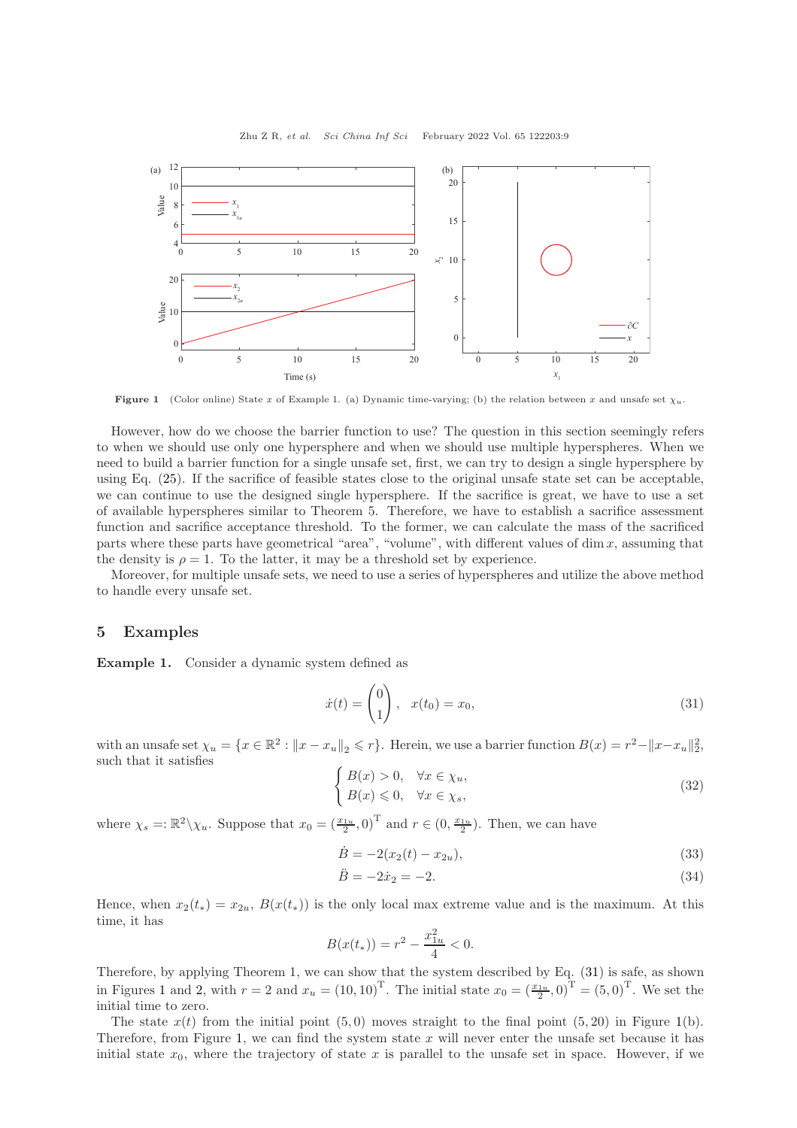<span id="page-8-1"></span>

Figure 1 (Color online) State x of Example 1. (a) Dynamic time-varying; (b) the relation between x and unsafe set  $\chi_u$ .

However, how do we choose the barrier function to use? The question in this section seemingly refers to when we should use only one hypersphere and when we should use multiple hyperspheres. When we need to build a barrier function for a single unsafe set, first, we can try to design a single hypersphere by using Eq. [\(25\)](#page-7-0). If the sacrifice of feasible states close to the original unsafe state set can be acceptable, we can continue to use the designed single hypersphere. If the sacrifice is great, we have to use a set of available hyperspheres similar to Theorem 5. Therefore, we have to establish a sacrifice assessment function and sacrifice acceptance threshold. To the former, we can calculate the mass of the sacrificed parts where these parts have geometrical "area", "volume", with different values of dim  $x$ , assuming that the density is  $\rho = 1$ . To the latter, it may be a threshold set by experience.

Moreover, for multiple unsafe sets, we need to use a series of hyperspheres and utilize the above method to handle every unsafe set.

## 5 Examples

Example 1. Consider a dynamic system defined as

<span id="page-8-0"></span>
$$
\dot{x}(t) = \begin{pmatrix} 0 \\ 1 \end{pmatrix}, \quad x(t_0) = x_0,\tag{31}
$$

with an unsafe set  $\chi_u = \{x \in \mathbb{R}^2 : ||x - x_u||_2 \leqslant r\}$ . Herein, we use a barrier function  $B(x) = r^2 - ||x - x_u||_2^2$ , such that it satisfies

$$
\begin{cases}\nB(x) > 0, \quad \forall x \in \chi_u, \\
B(x) \leq 0, \quad \forall x \in \chi_s,\n\end{cases}\n\tag{32}
$$

where  $\chi_s = \mathbb{R}^2 \setminus \chi_u$ . Suppose that  $x_0 = \left(\frac{x_{1u}}{2}, 0\right)^T$  and  $r \in (0, \frac{x_{1u}}{2})$ . Then, we can have

$$
\dot{B} = -2(x_2(t) - x_{2u}),\tag{33}
$$

$$
\ddot{B} = -2\dot{x}_2 = -2.\t(34)
$$

Hence, when  $x_2(t_*) = x_{2u}$ ,  $B(x(t_*) )$  is the only local max extreme value and is the maximum. At this time, it has

$$
B(x(t_{*})) = r^{2} - \frac{x_{1u}^{2}}{4} < 0.
$$

Therefore, by applying Theorem 1, we can show that the system described by Eq. [\(31\)](#page-8-0) is safe, as shown in Figures [1](#page-8-1) and [2,](#page-9-0) with  $r = 2$  and  $x_u = (10, 10)^T$ . The initial state  $x_0 = \left(\frac{x_{1u}}{2}, 0\right)^T = (5, 0)^T$ . We set the initial time to zero.

The state  $x(t)$  from the initial point (5,0) moves straight to the final point (5,20) in Figure [1\(](#page-8-1)b). Therefore, from Figure [1,](#page-8-1) we can find the system state  $x$  will never enter the unsafe set because it has initial state  $x_0$ , where the trajectory of state x is parallel to the unsafe set in space. However, if we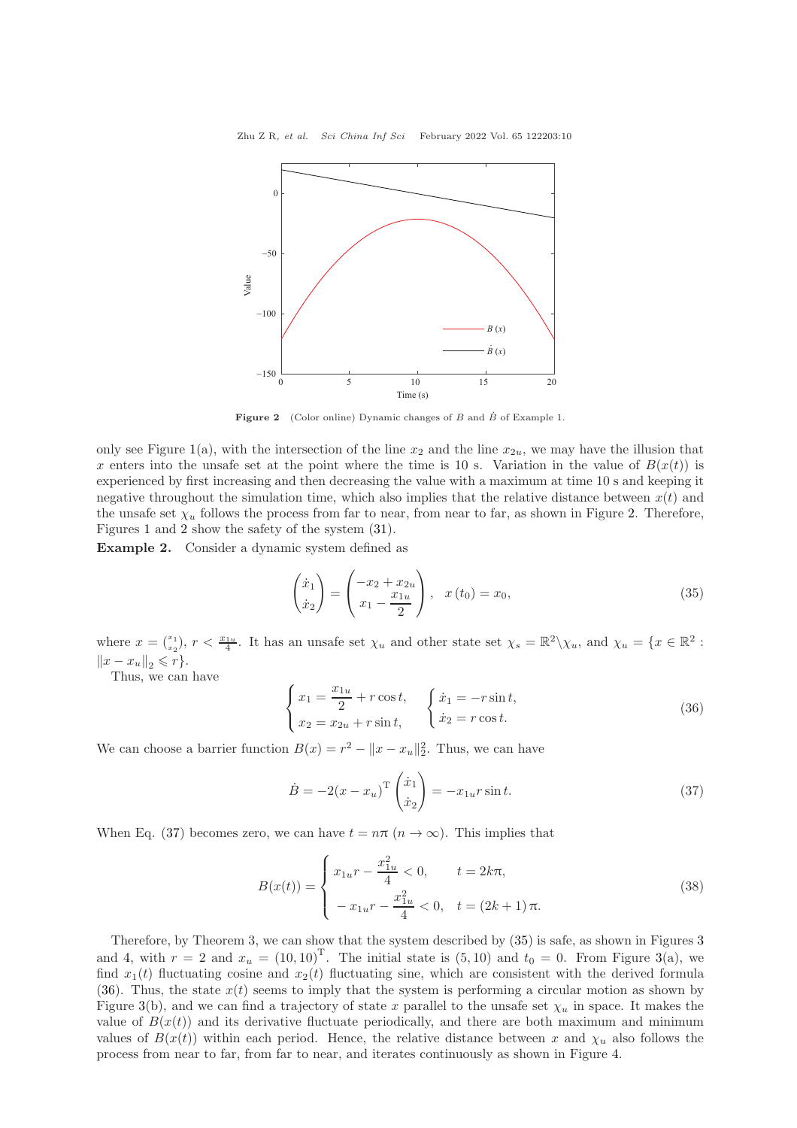<span id="page-9-0"></span>

Figure 2 (Color online) Dynamic changes of B and  $\dot{B}$  of Example 1.

only see Figure [1\(](#page-8-1)a), with the intersection of the line  $x_2$  and the line  $x_{2u}$ , we may have the illusion that x enters into the unsafe set at the point where the time is 10 s. Variation in the value of  $B(x(t))$  is experienced by first increasing and then decreasing the value with a maximum at time 10 s and keeping it negative throughout the simulation time, which also implies that the relative distance between  $x(t)$  and the unsafe set  $\chi_u$  follows the process from far to near, from near to far, as shown in Figure [2.](#page-9-0) Therefore, Figures [1](#page-8-1) and [2](#page-9-0) show the safety of the system [\(31\)](#page-8-0).

Example 2. Consider a dynamic system defined as

<span id="page-9-2"></span>
$$
\begin{pmatrix} \dot{x}_1 \\ \dot{x}_2 \end{pmatrix} = \begin{pmatrix} -x_2 + x_{2u} \\ x_1 - \frac{x_{1u}}{2} \end{pmatrix}, \quad x(t_0) = x_0,
$$
\n(35)

where  $x = \binom{x_1}{x_2}$ ,  $r < \frac{x_{1u}}{4}$ . It has an unsafe set  $\chi_u$  and other state set  $\chi_s = \mathbb{R}^2 \setminus \chi_u$ , and  $\chi_u = \{x \in \mathbb{R}^2 :$  $||x - x_u||_2 \leqslant r$ .

Thus, we can have

<span id="page-9-3"></span>
$$
\begin{cases}\n x_1 = \frac{x_{1u}}{2} + r \cos t, & \begin{cases}\n \dot{x}_1 = -r \sin t, \\
 \dot{x}_2 = x_{2u} + r \sin t,\n \end{cases} \\
 \end{cases}
$$
\n(36)

We can choose a barrier function  $B(x) = r^2 - ||x - x_u||_2^2$ . Thus, we can have

<span id="page-9-1"></span>
$$
\dot{B} = -2(x - x_u)^{\mathrm{T}} \begin{pmatrix} \dot{x}_1 \\ \dot{x}_2 \end{pmatrix} = -x_{1u} r \sin t. \tag{37}
$$

When Eq. [\(37\)](#page-9-1) becomes zero, we can have  $t = n\pi (n \to \infty)$ . This implies that

$$
B(x(t)) = \begin{cases} x_{1u}r - \frac{x_{1u}^2}{4} < 0, & t = 2k\pi, \\ -x_{1u}r - \frac{x_{1u}^2}{4} < 0, & t = (2k+1)\pi. \end{cases}
$$
(38)

Therefore, by Theorem 3, we can show that the system described by [\(35\)](#page-9-2) is safe, as shown in Figures [3](#page-10-0) and [4,](#page-10-1) with  $r = 2$  and  $x_u = (10, 10)^T$ . The initial state is  $(5, 10)$  and  $t_0 = 0$ . From Figure [3\(](#page-10-0)a), we find  $x_1(t)$  fluctuating cosine and  $x_2(t)$  fluctuating sine, which are consistent with the derived formula [\(36\)](#page-9-3). Thus, the state  $x(t)$  seems to imply that the system is performing a circular motion as shown by Figure [3\(](#page-10-0)b), and we can find a trajectory of state x parallel to the unsafe set  $\chi_u$  in space. It makes the value of  $B(x(t))$  and its derivative fluctuate periodically, and there are both maximum and minimum values of  $B(x(t))$  within each period. Hence, the relative distance between x and  $\chi_u$  also follows the process from near to far, from far to near, and iterates continuously as shown in Figure [4.](#page-10-1)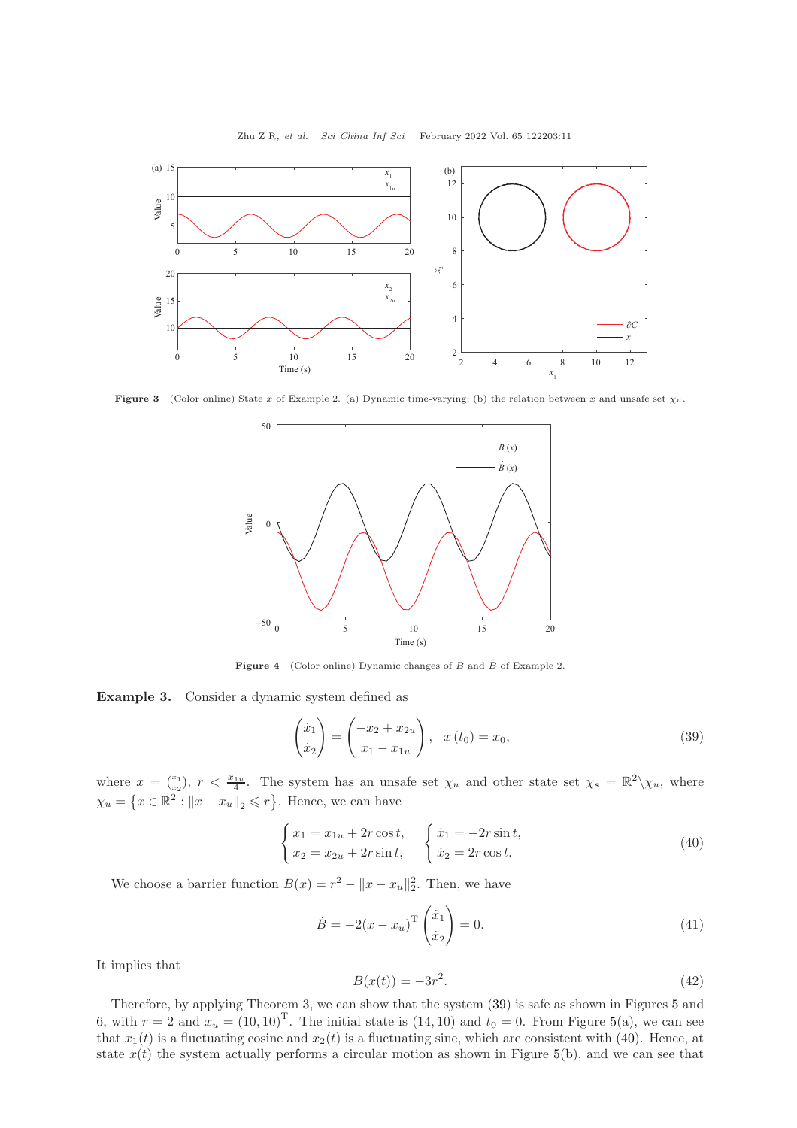<span id="page-10-0"></span>

Zhu Z R, et al. Sci China Inf Sci February 2022 Vol. 65 122203:11

<span id="page-10-1"></span>**Figure 3** (Color online) State x of Example 2. (a) Dynamic time-varying; (b) the relation between x and unsafe set  $\chi_u$ .



Figure 4 (Color online) Dynamic changes of  $B$  and  $\dot{B}$  of Example 2.

Example 3. Consider a dynamic system defined as

<span id="page-10-2"></span>
$$
\begin{pmatrix} \dot{x}_1 \\ \dot{x}_2 \end{pmatrix} = \begin{pmatrix} -x_2 + x_{2u} \\ x_1 - x_{1u} \end{pmatrix}, \quad x(t_0) = x_0,
$$
\n(39)

where  $x = \binom{x_1}{x_2}$ ,  $r < \frac{x_{1u}}{4}$ . The system has an unsafe set  $\chi_u$  and other state set  $\chi_s = \mathbb{R}^2 \setminus \chi_u$ , where  $\chi_u = \left\{ x \in \mathbb{R}^2 : ||x - x_u||_2 \leqslant r \right\}$ . Hence, we can have

<span id="page-10-3"></span>
$$
\begin{cases}\n x_1 = x_{1u} + 2r \cos t, & \left( \dot{x}_1 = -2r \sin t, \\
 x_2 = x_{2u} + 2r \sin t, & \left( \dot{x}_2 = 2r \cos t. \right) \n\end{cases} \n\tag{40}
$$

We choose a barrier function  $B(x) = r^2 - ||x - x_u||_2^2$ . Then, we have

$$
\dot{B} = -2(x - x_u)^{\mathrm{T}} \begin{pmatrix} \dot{x}_1 \\ \dot{x}_2 \end{pmatrix} = 0.
$$
\n(41)

It implies that

$$
B(x(t)) = -3r^2.
$$
 (42)

Therefore, by applying Theorem 3, we can show that the system [\(39\)](#page-10-2) is safe as shown in Figures [5](#page-11-0) and [6,](#page-11-1) with  $r = 2$  and  $x_u = (10, 10)^T$ . The initial state is  $(14, 10)$  and  $t_0 = 0$ . From Figure [5\(](#page-11-0)a), we can see that  $x_1(t)$  is a fluctuating cosine and  $x_2(t)$  is a fluctuating sine, which are consistent with [\(40\)](#page-10-3). Hence, at state  $x(t)$  the system actually performs a circular motion as shown in Figure [5\(](#page-11-0)b), and we can see that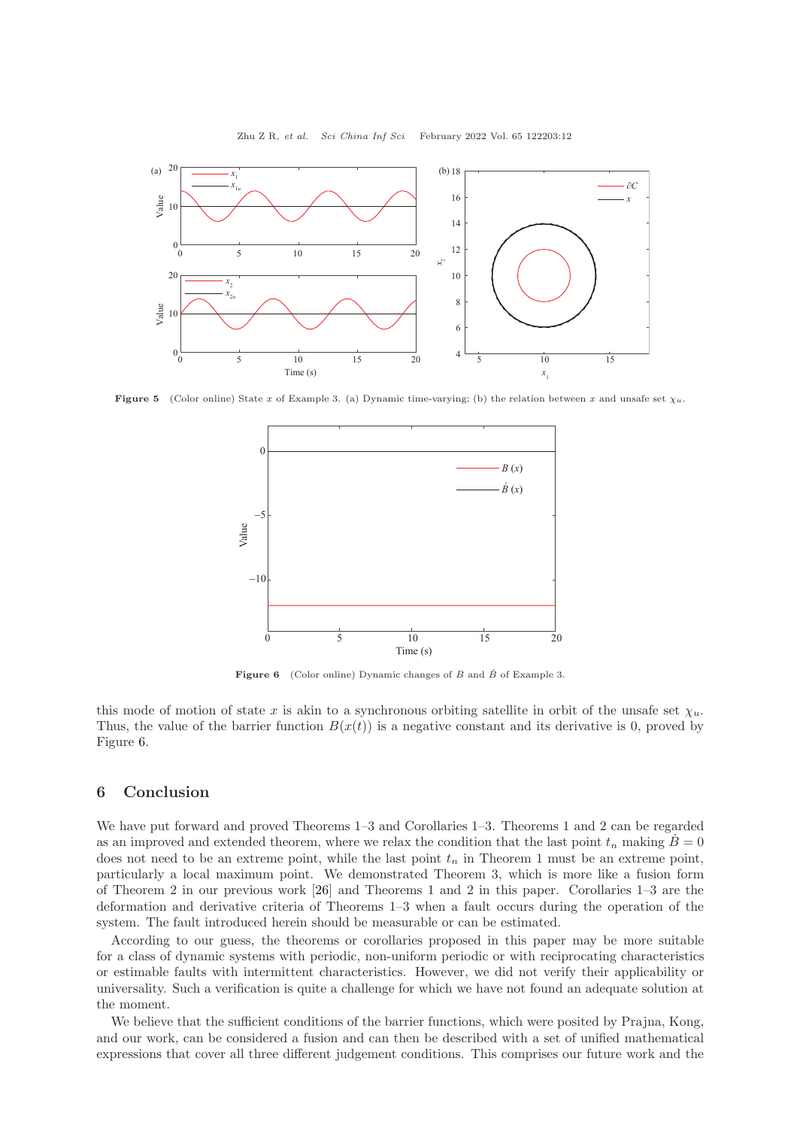<span id="page-11-0"></span>

Zhu Z R, et al. Sci China Inf Sci February 2022 Vol. 65 122203:12

<span id="page-11-1"></span>**Figure 5** (Color online) State x of Example 3. (a) Dynamic time-varying; (b) the relation between x and unsafe set  $\chi_u$ .



Figure 6 (Color online) Dynamic changes of B and  $\dot{B}$  of Example 3.

this mode of motion of state x is akin to a synchronous orbiting satellite in orbit of the unsafe set  $\chi_u$ . Thus, the value of the barrier function  $B(x(t))$  is a negative constant and its derivative is 0, proved by Figure [6.](#page-11-1)

#### 6 Conclusion

We have put forward and proved Theorems 1–3 and Corollaries 1–3. Theorems 1 and 2 can be regarded as an improved and extended theorem, where we relax the condition that the last point  $t_n$  making  $\dot{B}=0$ does not need to be an extreme point, while the last point  $t_n$  in Theorem 1 must be an extreme point, particularly a local maximum point. We demonstrated Theorem 3, which is more like a fusion form of Theorem 2 in our previous work [\[26\]](#page-12-20) and Theorems 1 and 2 in this paper. Corollaries 1–3 are the deformation and derivative criteria of Theorems 1–3 when a fault occurs during the operation of the system. The fault introduced herein should be measurable or can be estimated.

According to our guess, the theorems or corollaries proposed in this paper may be more suitable for a class of dynamic systems with periodic, non-uniform periodic or with reciprocating characteristics or estimable faults with intermittent characteristics. However, we did not verify their applicability or universality. Such a verification is quite a challenge for which we have not found an adequate solution at the moment.

We believe that the sufficient conditions of the barrier functions, which were posited by Prajna, Kong, and our work, can be considered a fusion and can then be described with a set of unified mathematical expressions that cover all three different judgement conditions. This comprises our future work and the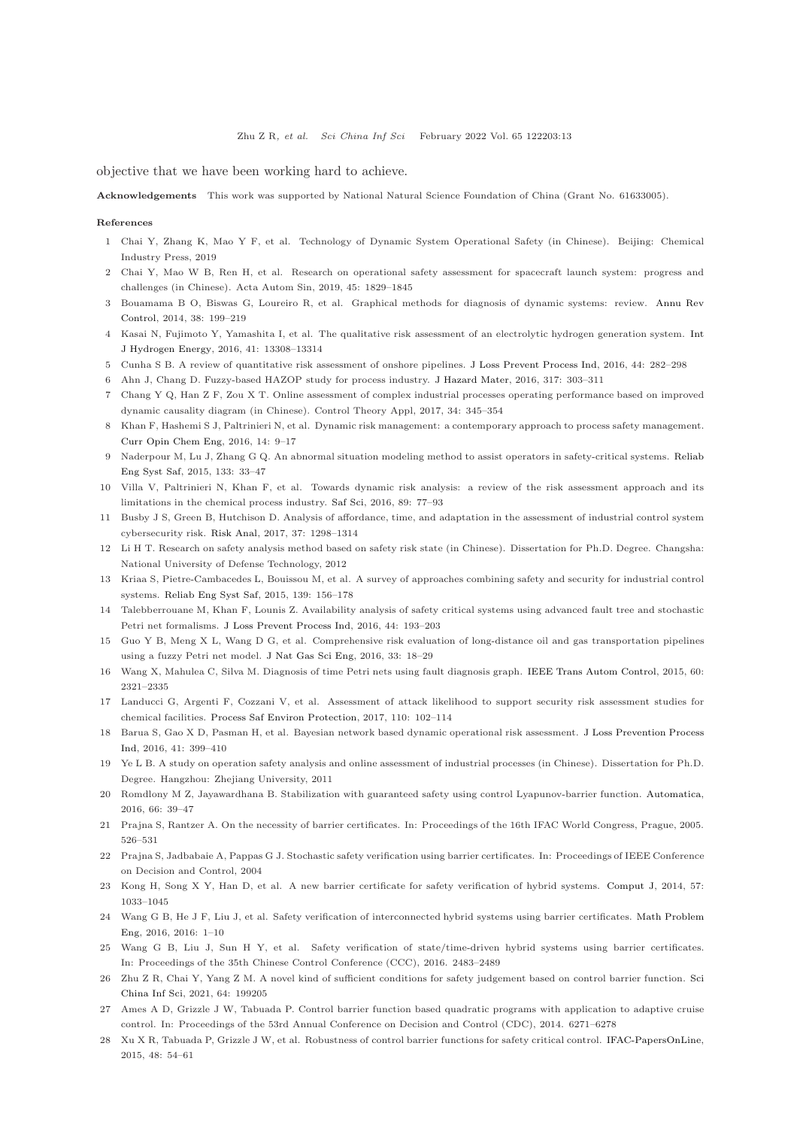objective that we have been working hard to achieve.

Acknowledgements This work was supported by National Natural Science Foundation of China (Grant No. 61633005).

#### <span id="page-12-0"></span>References

- <span id="page-12-1"></span>1 Chai Y, Zhang K, Mao Y F, et al. Technology of Dynamic System Operational Safety (in Chinese). Beijing: Chemical Industry Press, 2019
- <span id="page-12-2"></span>2 Chai Y, Mao W B, Ren H, et al. Research on operational safety assessment for spacecraft launch system: progress and challenges (in Chinese). Acta Autom Sin, 2019, 45: 1829–1845
- <span id="page-12-3"></span>3 Bouam[ama B O, Biswas G, Loureiro R, et al. Graphical methods](https://doi.org/10.1016/j.arcontrol.2014.09.004) for diagnosis of dynamic systems: review. Annu Rev Control, 2014, 38: 199–219
- <span id="page-12-4"></span>4 Kasai N, Fujimoto Y, Yamashita I, et al. The qualitative risk assessment of an electrolytic hydrogen generation system. Int J Hydrogen Energy, 2016, 41: 13308–13314
- <span id="page-12-5"></span>5 Cunha S B. A review of quantitative risk assessment of onshore pipelines. [J Loss Prevent Process Ind,](https://doi.org/10.1016/j.jlp.2016.09.016) 2016, 44: 282–298
- <span id="page-12-6"></span>6 Ahn J, Chang D. Fuzzy-based HAZOP study for process industry. [J Hazard Mater,](https://doi.org/10.1016/j.jhazmat.2016.05.096) 2016, 317: 303–311
- <span id="page-12-7"></span>7 Chang Y Q, Han Z F, Zou X T. Online assessment of complex industrial processes operating performance based on improved dynamic causality diagram (in Chinese). Control Theory Appl, 2017, 34: 345–354
- <span id="page-12-8"></span>8 Khan F, Hashemi S J, Paltrinieri N, et al. Dynamic risk management: a contemporary approach to process safety management. [Curr Opin Chem Eng,](https://doi.org/10.1016/j.coche.2016.07.006) 2016, 14: 9–17
- <span id="page-12-9"></span>9 Naderpour M, Lu J, Zhang G Q. An abnormal situation modeling method to assist operators in safety-critical systems. Reliab Eng Syst Saf, 2015, 133: 33–47
- 10 Villa V, Paltrinieri N, Khan F, et al. Towards dynamic risk analysis: a review of the risk assessment approach and its limitations in the chemical process industry. [Saf Sci,](https://doi.org/10.1016/j.ssci.2016.06.002) 2016, 89: 77–93
- 11 Busby J S, Green B, Hutchison D. Analysis of affordance, time, and adaptation in the assessment of industrial control system cybersecurity risk. [Risk Anal,](https://doi.org/10.1111/risa.12681) 2017, 37: 1298–1314
- <span id="page-12-11"></span>12 Li H T. Research on safety analysis method based on safety risk state (in Chinese). Dissertation for Ph.D. Degree. Changsha: National University of Defense Technology, 2012
- <span id="page-12-12"></span>13 Kriaa S, Pietre-Cambacedes L, Bouissou M, et al. A survey of approaches combining safety and security for industrial control systems. [Reliab Eng Syst Saf,](https://doi.org/10.1016/j.ress.2015.02.008) 2015, 139: 156–178
- <span id="page-12-13"></span>14 Talebberrouane M, Khan F, Lounis Z. Availability analysis of safety critical systems using advanced fault tree and stochastic Petri net formalisms. [J Loss Prevent Process Ind,](https://doi.org/10.1016/j.jlp.2016.09.007) 2016, 44: 193–203
- <span id="page-12-14"></span>15 Guo Y B, Meng X L, Wang D G, et al. Comprehensive risk evaluation of long-distance oil and gas transportation pipelines using a fuzzy Petri net model. [J Nat Gas Sci Eng,](https://doi.org/10.1016/j.jngse.2016.04.052) 2016, 33: 18–29
- <span id="page-12-15"></span>16 Wang X, Mahulea C, Silva M. Diagnosis of time Petri nets using fault diagnosis graph. [IEEE Trans Autom Control,](https://doi.org/10.1109/TAC.2015.2405293) 2015, 60: 2321–2335
- <span id="page-12-10"></span>17 Landucci G, Argenti F, Cozzani V, et al. Assessment of attack likelihood to support security risk assessment studies for chemical facilities. [Process Saf Environ Protection,](https://doi.org/10.1016/j.psep.2017.06.019) 2017, 110: 102–114
- <span id="page-12-16"></span>18 Bar[ua S, Gao X D, Pasman H, et al. Bayesian network based dynamic operational risk assessment.](https://doi.org/10.1016/j.jlp.2015.11.024) J Loss Prevention Process Ind, 2016, 41: 399–410
- <span id="page-12-17"></span>19 Ye L B. A study on operation safety analysis and online assessment of industrial processes (in Chinese). Dissertation for Ph.D. Degree. Hangzhou: Zhejiang University, 2011
- <span id="page-12-18"></span>20 Romdlony M Z, Jayawardhana B. Stabilization with guaranteed safety using control Lyapunov-barrier function. [Automatica,](https://doi.org/10.1016/j.automatica.2015.12.011) 2016, 66: 39–47
- <span id="page-12-19"></span>21 Prajna S, Rantzer A. On the necessity of barrier certificates. In: Proceedings of the 16th IFAC World Congress, Prague, 2005. 526–531
- <span id="page-12-22"></span>22 Prajna S, Jadbabaie A, Pappas G J. Stochastic safety verification using barrier certificates. In: Proceedings of IEEE Conference on Decision and Control, 2004
- <span id="page-12-23"></span>23 Kong H, Song X Y, Han D, et al. A new barrier certificate for safety verification of hybrid systems. [Comput J,](https://doi.org/10.1093/comjnl/bxt059) 2014, 57: 1033–1045
- 24 Wang G B, He J F, Liu J, et al. Safety verification of interconnected hybrid systems using barrier certificates. Math Problem Eng, 2016, 2016: 1–10
- <span id="page-12-24"></span>25 Wang G B, Liu J, Sun H Y, et al. Safety verification of state/time-driven hybrid systems using barrier certificates. In: Proceedings of the 35th Chinese Control Conference (CCC), 2016. 2483–2489
- <span id="page-12-20"></span>26 Zhu Z R, Chai Y, Yang Z M. A novel kind of sufficient conditions [for safety judgement based on control barrier function.](https://doi.org/10.1007/s11432-018-9840-6) Sci China Inf Sci, 2021, 64: 199205
- <span id="page-12-21"></span>27 Ames A D, Grizzle J W, Tabuada P. Control barrier function based quadratic programs with application to adaptive cruise control. In: Proceedings of the 53rd Annual Conference on Decision and Control (CDC), 2014. 6271–6278
- 28 Xu X R, Tabuada P, Grizzle J W, et al. Robustness of control barrier functions for safety critical control. [IFAC-PapersOnLine,](https://doi.org/10.1016/j.ifacol.2015.11.152) 2015, 48: 54–61